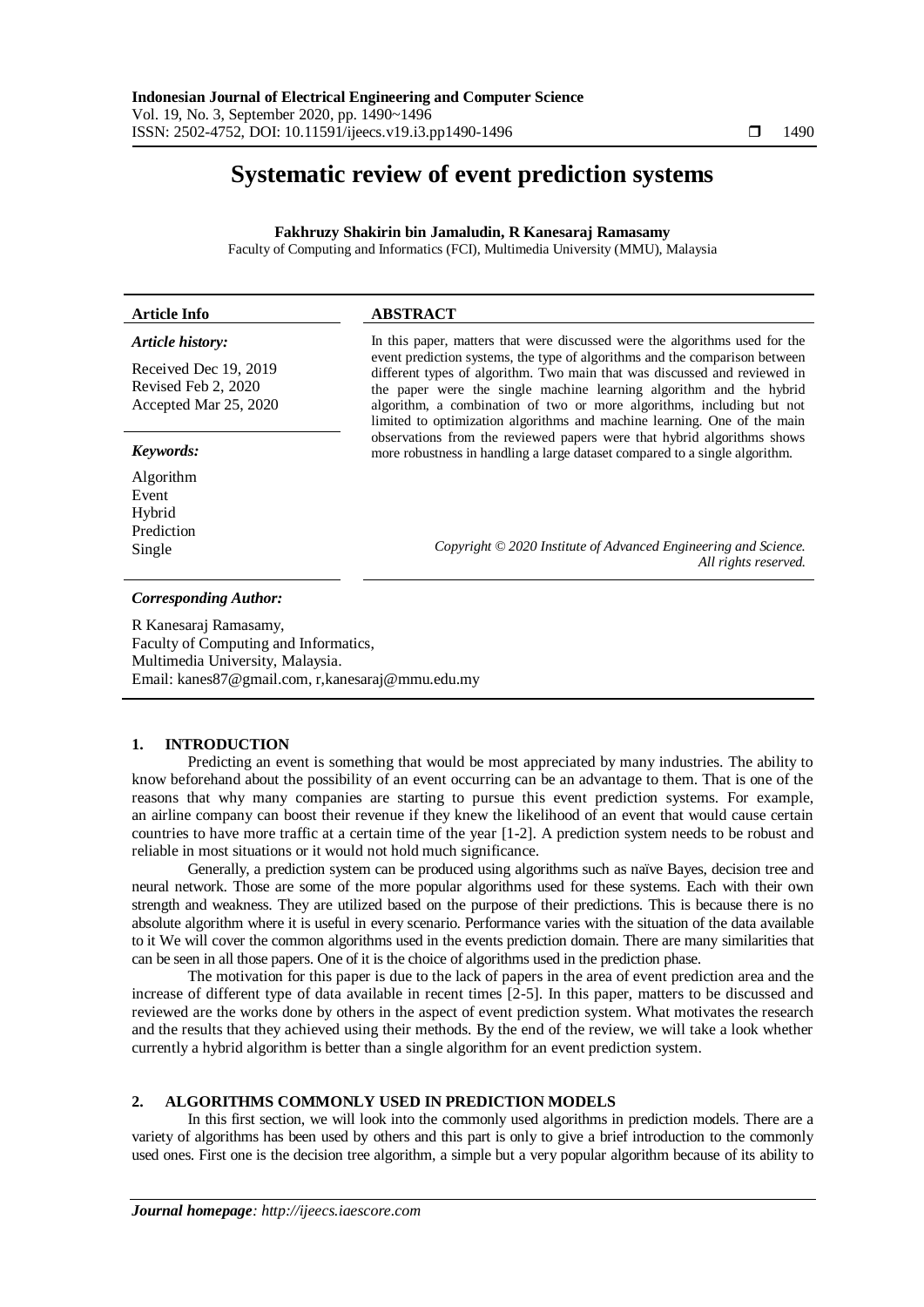# **Systematic review of event prediction systems**

**Fakhruzy Shakirin bin Jamaludin, R Kanesaraj Ramasamy**

Faculty of Computing and Informatics (FCI), Multimedia University (MMU), Malaysia

#### **Article Info ABSTRACT** *Article history:* Received Dec 19, 2019 Revised Feb 2, 2020 Accepted Mar 25, 2020 In this paper, matters that were discussed were the algorithms used for the event prediction systems, the type of algorithms and the comparison between different types of algorithm. Two main that was discussed and reviewed in the paper were the single machine learning algorithm and the hybrid algorithm, a combination of two or more algorithms, including but not limited to optimization algorithms and machine learning. One of the main observations from the reviewed papers were that hybrid algorithms shows *Keywords:* more robustness in handling a large dataset compared to a single algorithm. Algorithm Event

Hybrid Prediction Single *Copyright © 2020 Institute of Advanced Engineering and Science.* 

# *Corresponding Author:*

R Kanesaraj Ramasamy, Faculty of Computing and Informatics,

Multimedia University, Malaysia. Email: kanes87@gmail.com, r,kanesaraj@mmu.edu.my

# **1. INTRODUCTION**

Predicting an event is something that would be most appreciated by many industries. The ability to know beforehand about the possibility of an event occurring can be an advantage to them. That is one of the reasons that why many companies are starting to pursue this event prediction systems. For example, an airline company can boost their revenue if they knew the likelihood of an event that would cause certain countries to have more traffic at a certain time of the year [1-2]. A prediction system needs to be robust and reliable in most situations or it would not hold much significance.

Generally, a prediction system can be produced using algorithms such as naïve Bayes, decision tree and neural network. Those are some of the more popular algorithms used for these systems. Each with their own strength and weakness. They are utilized based on the purpose of their predictions. This is because there is no absolute algorithm where it is useful in every scenario. Performance varies with the situation of the data available to it We will cover the common algorithms used in the events prediction domain. There are many similarities that can be seen in all those papers. One of it is the choice of algorithms used in the prediction phase.

The motivation for this paper is due to the lack of papers in the area of event prediction area and the increase of different type of data available in recent times [2-5]. In this paper, matters to be discussed and reviewed are the works done by others in the aspect of event prediction system. What motivates the research and the results that they achieved using their methods. By the end of the review, we will take a look whether currently a hybrid algorithm is better than a single algorithm for an event prediction system.

# **2. ALGORITHMS COMMONLY USED IN PREDICTION MODELS**

In this first section, we will look into the commonly used algorithms in prediction models. There are a variety of algorithms has been used by others and this part is only to give a brief introduction to the commonly used ones. First one is the decision tree algorithm, a simple but a very popular algorithm because of its ability to

*All rights reserved.*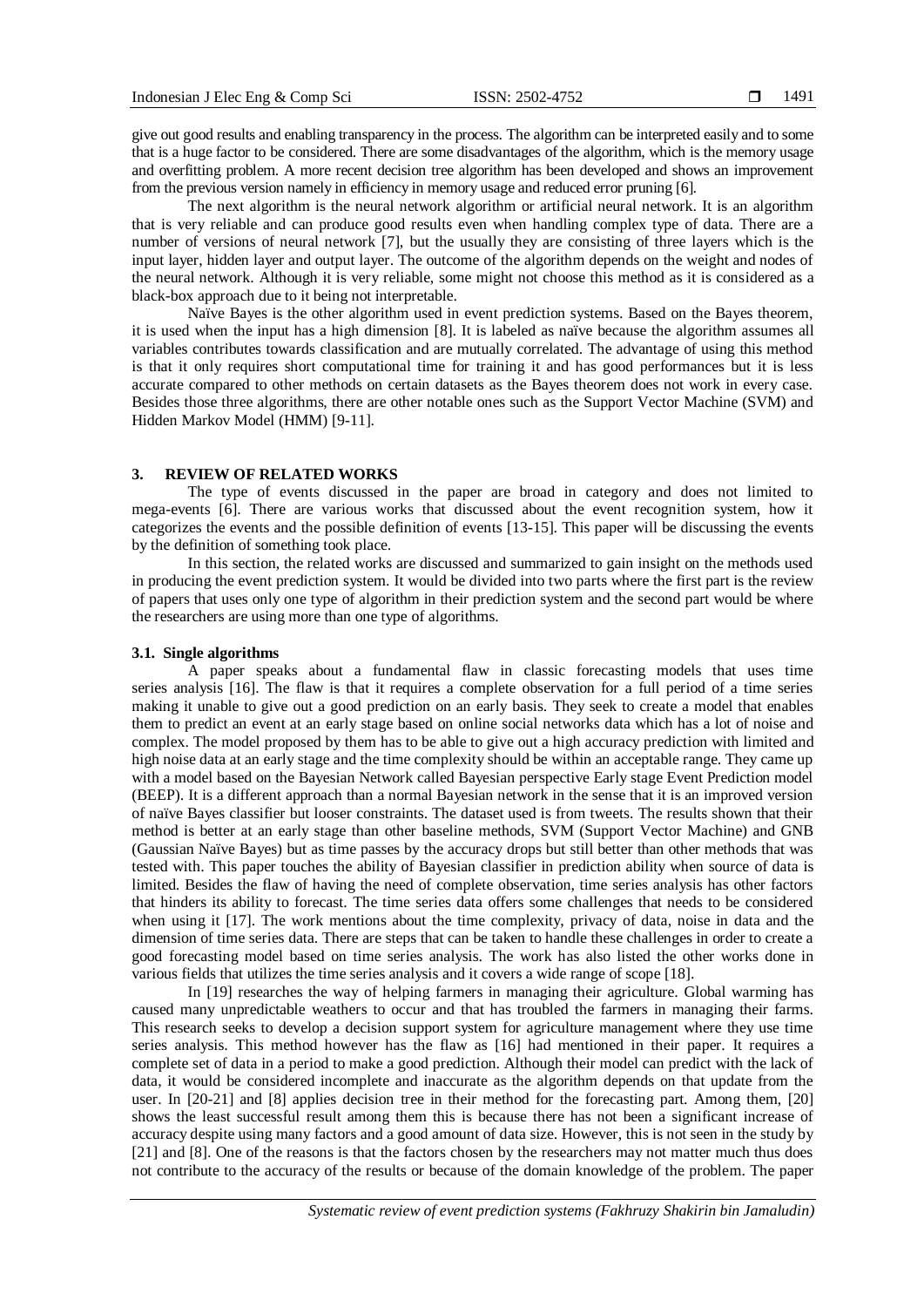give out good results and enabling transparency in the process. The algorithm can be interpreted easily and to some that is a huge factor to be considered. There are some disadvantages of the algorithm, which is the memory usage and overfitting problem. A more recent decision tree algorithm has been developed and shows an improvement from the previous version namely in efficiency in memory usage and reduced error pruning [6].

The next algorithm is the neural network algorithm or artificial neural network. It is an algorithm that is very reliable and can produce good results even when handling complex type of data. There are a number of versions of neural network [7], but the usually they are consisting of three layers which is the input layer, hidden layer and output layer. The outcome of the algorithm depends on the weight and nodes of the neural network. Although it is very reliable, some might not choose this method as it is considered as a black-box approach due to it being not interpretable.

Naïve Bayes is the other algorithm used in event prediction systems. Based on the Bayes theorem, it is used when the input has a high dimension [8]. It is labeled as naïve because the algorithm assumes all variables contributes towards classification and are mutually correlated. The advantage of using this method is that it only requires short computational time for training it and has good performances but it is less accurate compared to other methods on certain datasets as the Bayes theorem does not work in every case. Besides those three algorithms, there are other notable ones such as the Support Vector Machine (SVM) and Hidden Markov Model (HMM) [9-11].

### **3. REVIEW OF RELATED WORKS**

The type of events discussed in the paper are broad in category and does not limited to mega-events [6]. There are various works that discussed about the event recognition system, how it categorizes the events and the possible definition of events [13-15]. This paper will be discussing the events by the definition of something took place.

In this section, the related works are discussed and summarized to gain insight on the methods used in producing the event prediction system. It would be divided into two parts where the first part is the review of papers that uses only one type of algorithm in their prediction system and the second part would be where the researchers are using more than one type of algorithms.

### **3.1. Single algorithms**

A paper speaks about a fundamental flaw in classic forecasting models that uses time series analysis [16]. The flaw is that it requires a complete observation for a full period of a time series making it unable to give out a good prediction on an early basis. They seek to create a model that enables them to predict an event at an early stage based on online social networks data which has a lot of noise and complex. The model proposed by them has to be able to give out a high accuracy prediction with limited and high noise data at an early stage and the time complexity should be within an acceptable range. They came up with a model based on the Bayesian Network called Bayesian perspective Early stage Event Prediction model (BEEP). It is a different approach than a normal Bayesian network in the sense that it is an improved version of naïve Bayes classifier but looser constraints. The dataset used is from tweets. The results shown that their method is better at an early stage than other baseline methods, SVM (Support Vector Machine) and GNB (Gaussian Naïve Bayes) but as time passes by the accuracy drops but still better than other methods that was tested with. This paper touches the ability of Bayesian classifier in prediction ability when source of data is limited. Besides the flaw of having the need of complete observation, time series analysis has other factors that hinders its ability to forecast. The time series data offers some challenges that needs to be considered when using it [17]. The work mentions about the time complexity, privacy of data, noise in data and the dimension of time series data. There are steps that can be taken to handle these challenges in order to create a good forecasting model based on time series analysis. The work has also listed the other works done in various fields that utilizes the time series analysis and it covers a wide range of scope [18].

In [19] researches the way of helping farmers in managing their agriculture. Global warming has caused many unpredictable weathers to occur and that has troubled the farmers in managing their farms. This research seeks to develop a decision support system for agriculture management where they use time series analysis. This method however has the flaw as [16] had mentioned in their paper. It requires a complete set of data in a period to make a good prediction. Although their model can predict with the lack of data, it would be considered incomplete and inaccurate as the algorithm depends on that update from the user. In [20-21] and [8] applies decision tree in their method for the forecasting part. Among them, [20] shows the least successful result among them this is because there has not been a significant increase of accuracy despite using many factors and a good amount of data size. However, this is not seen in the study by [21] and [8]. One of the reasons is that the factors chosen by the researchers may not matter much thus does not contribute to the accuracy of the results or because of the domain knowledge of the problem. The paper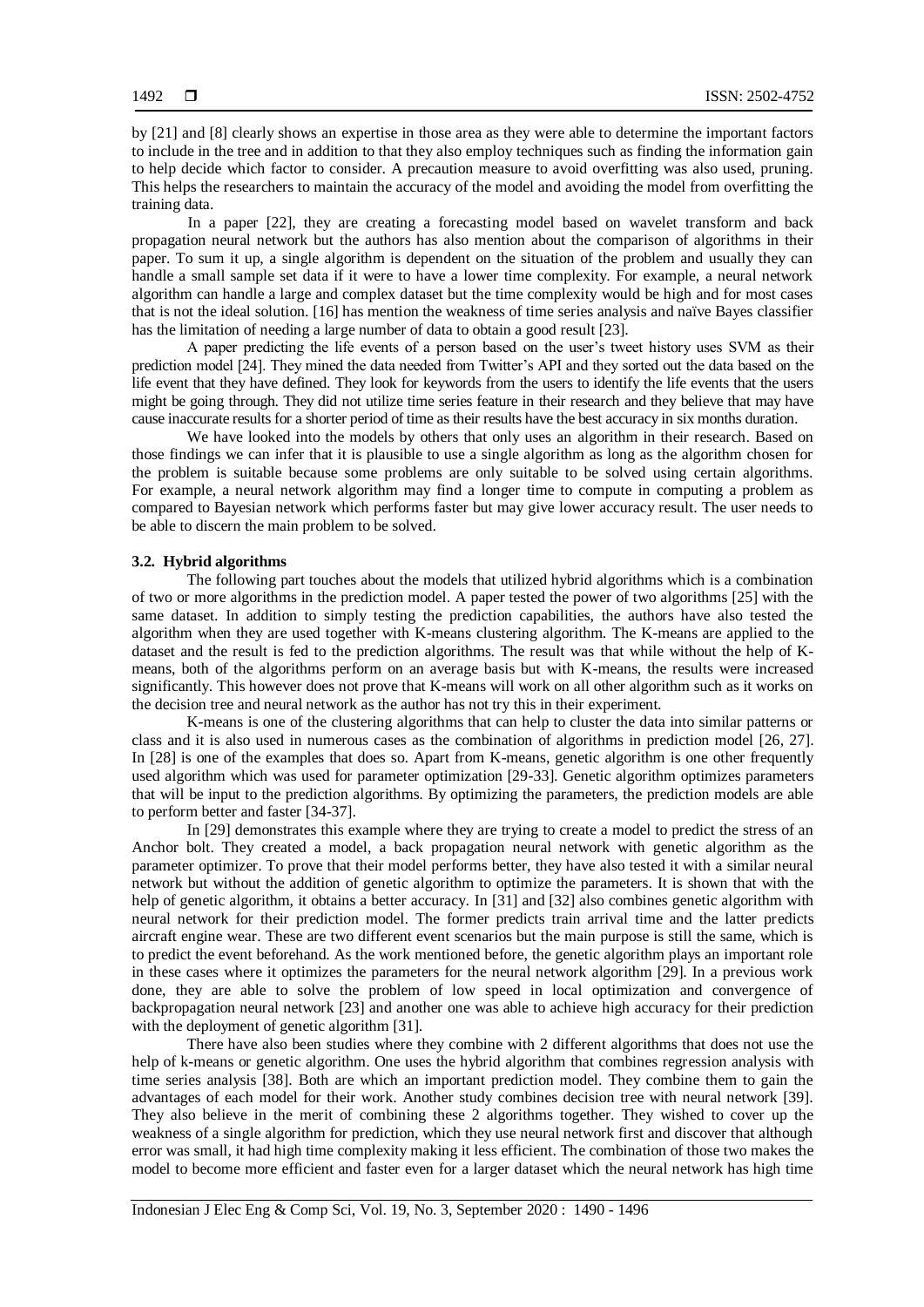by [21] and [8] clearly shows an expertise in those area as they were able to determine the important factors to include in the tree and in addition to that they also employ techniques such as finding the information gain to help decide which factor to consider. A precaution measure to avoid overfitting was also used, pruning. This helps the researchers to maintain the accuracy of the model and avoiding the model from overfitting the training data.

In a paper [22], they are creating a forecasting model based on wavelet transform and back propagation neural network but the authors has also mention about the comparison of algorithms in their paper. To sum it up, a single algorithm is dependent on the situation of the problem and usually they can handle a small sample set data if it were to have a lower time complexity. For example, a neural network algorithm can handle a large and complex dataset but the time complexity would be high and for most cases that is not the ideal solution. [16] has mention the weakness of time series analysis and naïve Bayes classifier has the limitation of needing a large number of data to obtain a good result [23].

A paper predicting the life events of a person based on the user's tweet history uses SVM as their prediction model [24]. They mined the data needed from Twitter's API and they sorted out the data based on the life event that they have defined. They look for keywords from the users to identify the life events that the users might be going through. They did not utilize time series feature in their research and they believe that may have cause inaccurate results for a shorter period of time as their results have the best accuracy in six months duration.

We have looked into the models by others that only uses an algorithm in their research. Based on those findings we can infer that it is plausible to use a single algorithm as long as the algorithm chosen for the problem is suitable because some problems are only suitable to be solved using certain algorithms. For example, a neural network algorithm may find a longer time to compute in computing a problem as compared to Bayesian network which performs faster but may give lower accuracy result. The user needs to be able to discern the main problem to be solved.

#### **3.2. Hybrid algorithms**

The following part touches about the models that utilized hybrid algorithms which is a combination of two or more algorithms in the prediction model. A paper tested the power of two algorithms [25] with the same dataset. In addition to simply testing the prediction capabilities, the authors have also tested the algorithm when they are used together with K-means clustering algorithm. The K-means are applied to the dataset and the result is fed to the prediction algorithms. The result was that while without the help of Kmeans, both of the algorithms perform on an average basis but with K-means, the results were increased significantly. This however does not prove that K-means will work on all other algorithm such as it works on the decision tree and neural network as the author has not try this in their experiment.

K-means is one of the clustering algorithms that can help to cluster the data into similar patterns or class and it is also used in numerous cases as the combination of algorithms in prediction model [26, 27]. In [28] is one of the examples that does so. Apart from K-means, genetic algorithm is one other frequently used algorithm which was used for parameter optimization [29-33]. Genetic algorithm optimizes parameters that will be input to the prediction algorithms. By optimizing the parameters, the prediction models are able to perform better and faster [34-37].

In [29] demonstrates this example where they are trying to create a model to predict the stress of an Anchor bolt. They created a model, a back propagation neural network with genetic algorithm as the parameter optimizer. To prove that their model performs better, they have also tested it with a similar neural network but without the addition of genetic algorithm to optimize the parameters. It is shown that with the help of genetic algorithm, it obtains a better accuracy. In [31] and [32] also combines genetic algorithm with neural network for their prediction model. The former predicts train arrival time and the latter predicts aircraft engine wear. These are two different event scenarios but the main purpose is still the same, which is to predict the event beforehand. As the work mentioned before, the genetic algorithm plays an important role in these cases where it optimizes the parameters for the neural network algorithm [29]. In a previous work done, they are able to solve the problem of low speed in local optimization and convergence of backpropagation neural network [23] and another one was able to achieve high accuracy for their prediction with the deployment of genetic algorithm [31].

There have also been studies where they combine with 2 different algorithms that does not use the help of k-means or genetic algorithm. One uses the hybrid algorithm that combines regression analysis with time series analysis [38]. Both are which an important prediction model. They combine them to gain the advantages of each model for their work. Another study combines decision tree with neural network [39]. They also believe in the merit of combining these 2 algorithms together. They wished to cover up the weakness of a single algorithm for prediction, which they use neural network first and discover that although error was small, it had high time complexity making it less efficient. The combination of those two makes the model to become more efficient and faster even for a larger dataset which the neural network has high time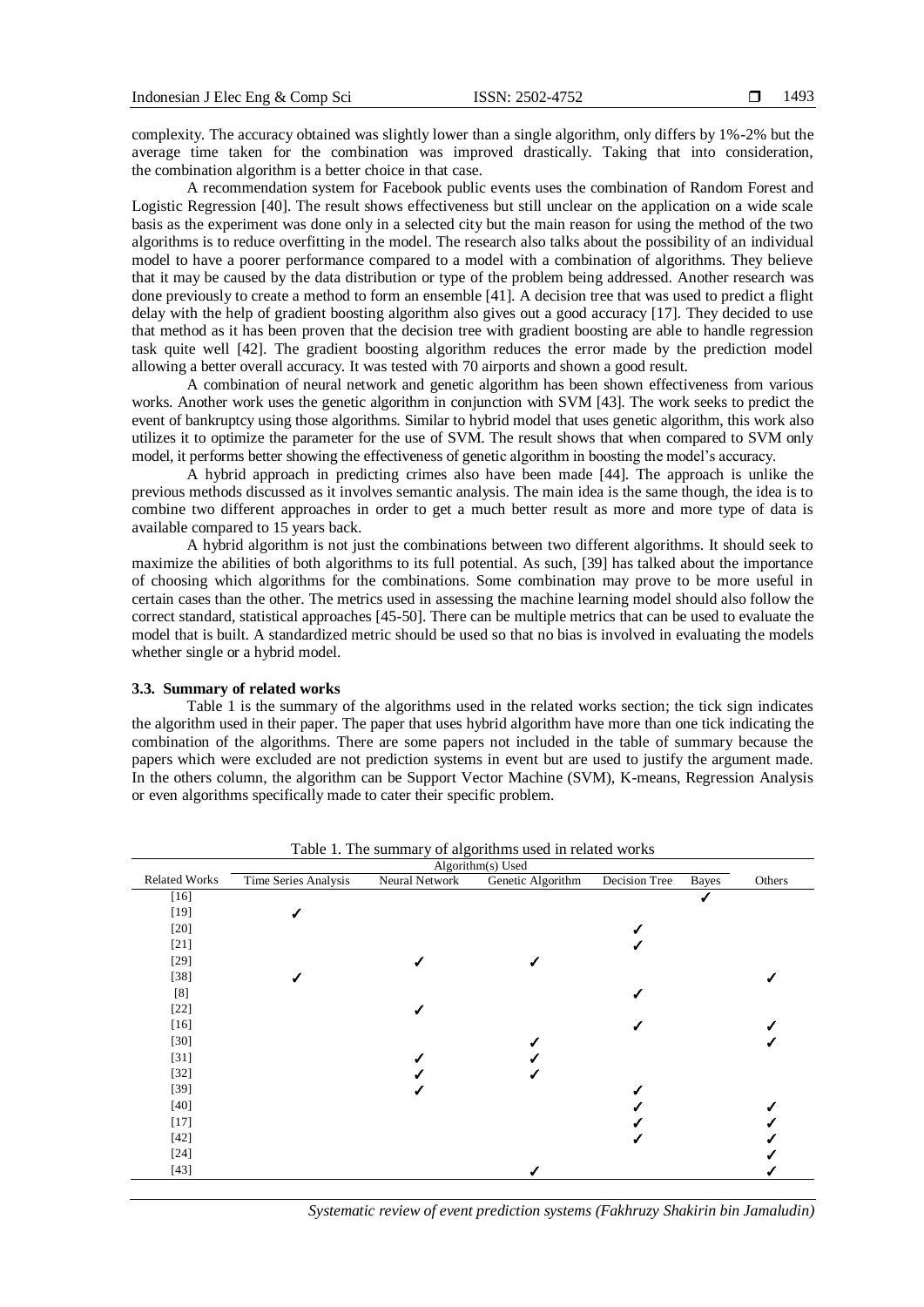complexity. The accuracy obtained was slightly lower than a single algorithm, only differs by 1%-2% but the average time taken for the combination was improved drastically. Taking that into consideration, the combination algorithm is a better choice in that case.

A recommendation system for Facebook public events uses the combination of Random Forest and Logistic Regression [40]. The result shows effectiveness but still unclear on the application on a wide scale basis as the experiment was done only in a selected city but the main reason for using the method of the two algorithms is to reduce overfitting in the model. The research also talks about the possibility of an individual model to have a poorer performance compared to a model with a combination of algorithms. They believe that it may be caused by the data distribution or type of the problem being addressed. Another research was done previously to create a method to form an ensemble [41]. A decision tree that was used to predict a flight delay with the help of gradient boosting algorithm also gives out a good accuracy [17]. They decided to use that method as it has been proven that the decision tree with gradient boosting are able to handle regression task quite well [42]. The gradient boosting algorithm reduces the error made by the prediction model allowing a better overall accuracy. It was tested with 70 airports and shown a good result.

A combination of neural network and genetic algorithm has been shown effectiveness from various works. Another work uses the genetic algorithm in conjunction with SVM [43]. The work seeks to predict the event of bankruptcy using those algorithms. Similar to hybrid model that uses genetic algorithm, this work also utilizes it to optimize the parameter for the use of SVM. The result shows that when compared to SVM only model, it performs better showing the effectiveness of genetic algorithm in boosting the model's accuracy.

A hybrid approach in predicting crimes also have been made [44]. The approach is unlike the previous methods discussed as it involves semantic analysis. The main idea is the same though, the idea is to combine two different approaches in order to get a much better result as more and more type of data is available compared to 15 years back.

A hybrid algorithm is not just the combinations between two different algorithms. It should seek to maximize the abilities of both algorithms to its full potential. As such, [39] has talked about the importance of choosing which algorithms for the combinations. Some combination may prove to be more useful in certain cases than the other. The metrics used in assessing the machine learning model should also follow the correct standard, statistical approaches [45-50]. There can be multiple metrics that can be used to evaluate the model that is built. A standardized metric should be used so that no bias is involved in evaluating the models whether single or a hybrid model.

#### **3.3. Summary of related works**

Table 1 is the summary of the algorithms used in the related works section; the tick sign indicates the algorithm used in their paper. The paper that uses hybrid algorithm have more than one tick indicating the combination of the algorithms. There are some papers not included in the table of summary because the papers which were excluded are not prediction systems in event but are used to justify the argument made. In the others column, the algorithm can be Support Vector Machine (SVM), K-means, Regression Analysis or even algorithms specifically made to cater their specific problem.

| Others<br>$[16]$<br>$[19]$<br>$[20]$<br>$[21]$<br>$[29]$<br>$[38]$<br>[8]<br>$[22]$<br>$[16]$<br>$[30]$<br>$[31]$<br>$[32]$<br>$[39]$<br>$[40]$<br>$[17]$<br>$[42]$<br>$[24]$<br>[43] | Algorithm(s) Used    |                      |                |                   |               |       |  |
|---------------------------------------------------------------------------------------------------------------------------------------------------------------------------------------|----------------------|----------------------|----------------|-------------------|---------------|-------|--|
|                                                                                                                                                                                       | <b>Related Works</b> | Time Series Analysis | Neural Network | Genetic Algorithm | Decision Tree | Bayes |  |
|                                                                                                                                                                                       |                      |                      |                |                   |               |       |  |
|                                                                                                                                                                                       |                      |                      |                |                   |               |       |  |
|                                                                                                                                                                                       |                      |                      |                |                   |               |       |  |
|                                                                                                                                                                                       |                      |                      |                |                   |               |       |  |
|                                                                                                                                                                                       |                      |                      |                |                   |               |       |  |
|                                                                                                                                                                                       |                      |                      |                |                   |               |       |  |
|                                                                                                                                                                                       |                      |                      |                |                   |               |       |  |
|                                                                                                                                                                                       |                      |                      |                |                   |               |       |  |
|                                                                                                                                                                                       |                      |                      |                |                   |               |       |  |
|                                                                                                                                                                                       |                      |                      |                |                   |               |       |  |
|                                                                                                                                                                                       |                      |                      |                |                   |               |       |  |
|                                                                                                                                                                                       |                      |                      |                |                   |               |       |  |
|                                                                                                                                                                                       |                      |                      |                |                   |               |       |  |
|                                                                                                                                                                                       |                      |                      |                |                   |               |       |  |
|                                                                                                                                                                                       |                      |                      |                |                   |               |       |  |
|                                                                                                                                                                                       |                      |                      |                |                   |               |       |  |
|                                                                                                                                                                                       |                      |                      |                |                   |               |       |  |
|                                                                                                                                                                                       |                      |                      |                |                   |               |       |  |

Table 1. The summary of algorithms used in related works

*Systematic review of event prediction systems (Fakhruzy Shakirin bin Jamaludin)*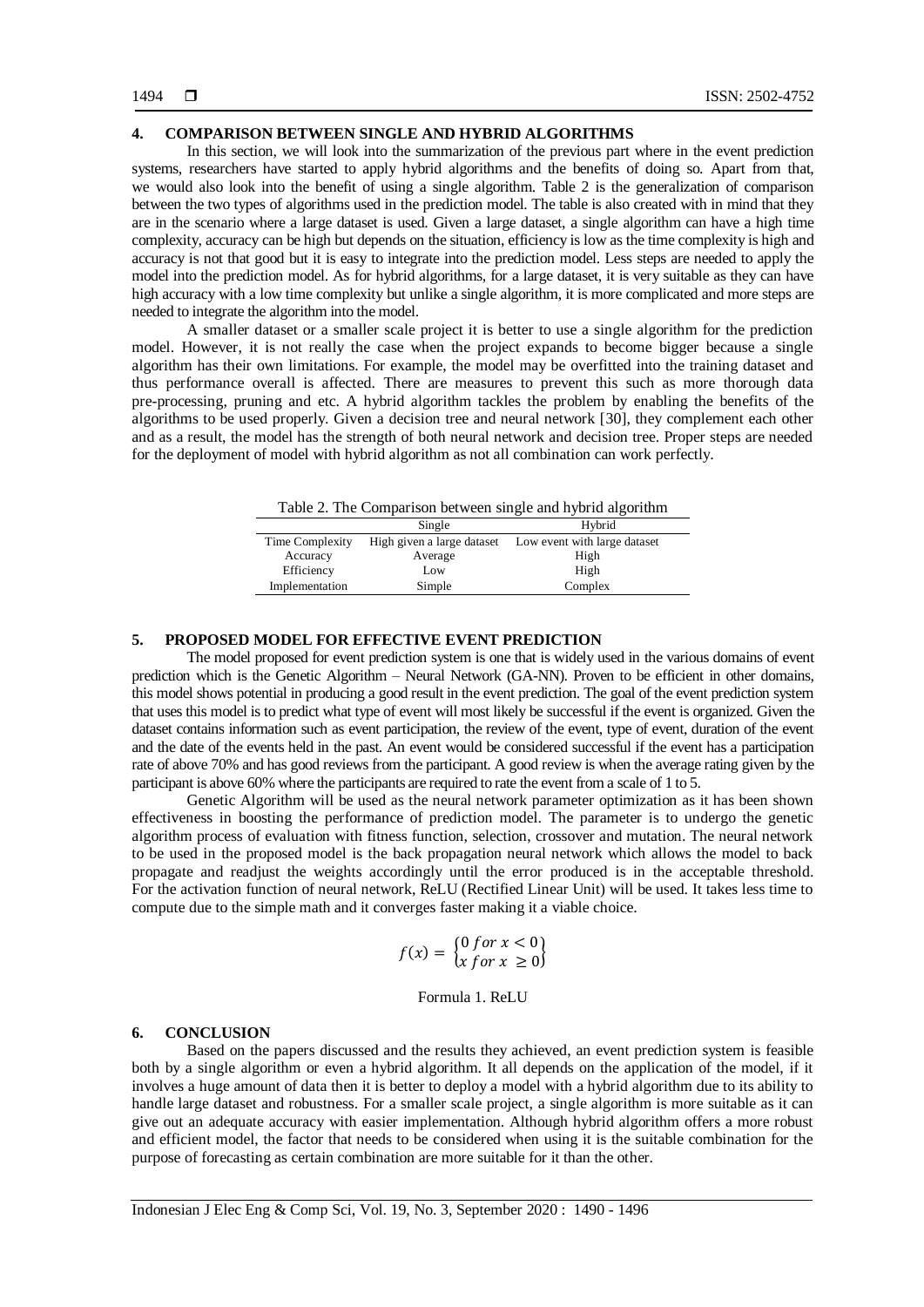## **4. COMPARISON BETWEEN SINGLE AND HYBRID ALGORITHMS**

In this section, we will look into the summarization of the previous part where in the event prediction systems, researchers have started to apply hybrid algorithms and the benefits of doing so. Apart from that, we would also look into the benefit of using a single algorithm. Table 2 is the generalization of comparison between the two types of algorithms used in the prediction model. The table is also created with in mind that they are in the scenario where a large dataset is used. Given a large dataset, a single algorithm can have a high time complexity, accuracy can be high but depends on the situation, efficiency is low as the time complexity is high and accuracy is not that good but it is easy to integrate into the prediction model. Less steps are needed to apply the model into the prediction model. As for hybrid algorithms, for a large dataset, it is very suitable as they can have high accuracy with a low time complexity but unlike a single algorithm, it is more complicated and more steps are needed to integrate the algorithm into the model.

A smaller dataset or a smaller scale project it is better to use a single algorithm for the prediction model. However, it is not really the case when the project expands to become bigger because a single algorithm has their own limitations. For example, the model may be overfitted into the training dataset and thus performance overall is affected. There are measures to prevent this such as more thorough data pre-processing, pruning and etc. A hybrid algorithm tackles the problem by enabling the benefits of the algorithms to be used properly. Given a decision tree and neural network [30], they complement each other and as a result, the model has the strength of both neural network and decision tree. Proper steps are needed for the deployment of model with hybrid algorithm as not all combination can work perfectly.

| Table 2. The Comparison between single and hybrid algorithm |  |
|-------------------------------------------------------------|--|

|                 | Single                     | Hybrid                       |
|-----------------|----------------------------|------------------------------|
| Time Complexity | High given a large dataset | Low event with large dataset |
| Accuracy        | Average                    | High                         |
| Efficiency      | Low                        | High                         |
| Implementation  | Simple                     | Complex                      |
|                 |                            |                              |

## **5. PROPOSED MODEL FOR EFFECTIVE EVENT PREDICTION**

The model proposed for event prediction system is one that is widely used in the various domains of event prediction which is the Genetic Algorithm – Neural Network (GA-NN). Proven to be efficient in other domains, this model shows potential in producing a good result in the event prediction. The goal of the event prediction system that uses this model is to predict what type of event will most likely be successful if the event is organized. Given the dataset contains information such as event participation, the review of the event, type of event, duration of the event and the date of the events held in the past. An event would be considered successful if the event has a participation rate of above 70% and has good reviews from the participant. A good review is when the average rating given by the participant is above 60% where the participants are required to rate the event from a scale of 1 to 5.

Genetic Algorithm will be used as the neural network parameter optimization as it has been shown effectiveness in boosting the performance of prediction model. The parameter is to undergo the genetic algorithm process of evaluation with fitness function, selection, crossover and mutation. The neural network to be used in the proposed model is the back propagation neural network which allows the model to back propagate and readjust the weights accordingly until the error produced is in the acceptable threshold. For the activation function of neural network, ReLU (Rectified Linear Unit) will be used. It takes less time to compute due to the simple math and it converges faster making it a viable choice.

$$
f(x) = \begin{cases} 0 \text{ for } x < 0 \\ x \text{ for } x \ge 0 \end{cases}
$$

#### Formula 1. ReLU

### **6. CONCLUSION**

Based on the papers discussed and the results they achieved, an event prediction system is feasible both by a single algorithm or even a hybrid algorithm. It all depends on the application of the model, if it involves a huge amount of data then it is better to deploy a model with a hybrid algorithm due to its ability to handle large dataset and robustness. For a smaller scale project, a single algorithm is more suitable as it can give out an adequate accuracy with easier implementation. Although hybrid algorithm offers a more robust and efficient model, the factor that needs to be considered when using it is the suitable combination for the purpose of forecasting as certain combination are more suitable for it than the other.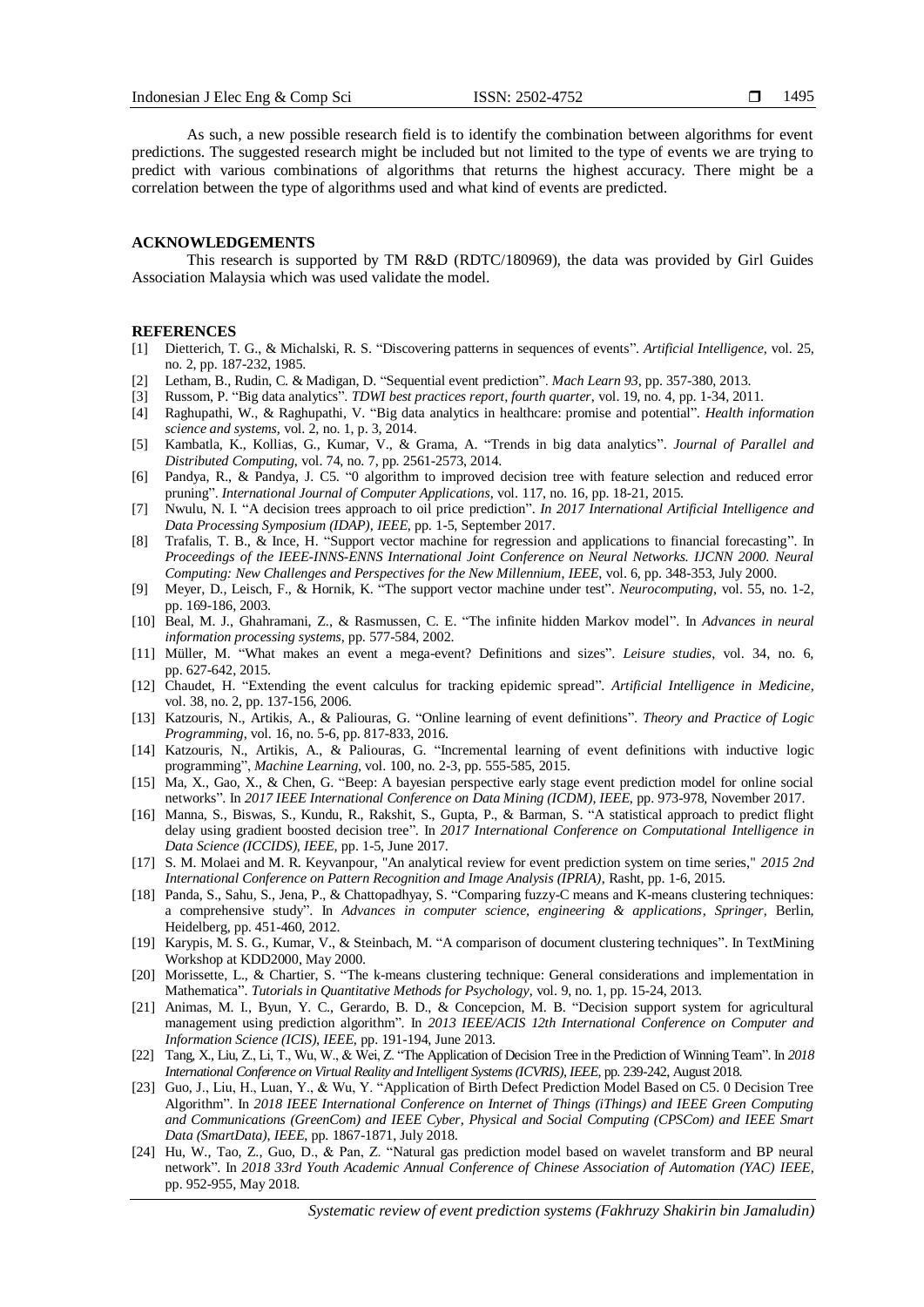As such, a new possible research field is to identify the combination between algorithms for event predictions. The suggested research might be included but not limited to the type of events we are trying to predict with various combinations of algorithms that returns the highest accuracy. There might be a correlation between the type of algorithms used and what kind of events are predicted.

#### **ACKNOWLEDGEMENTS**

This research is supported by TM R&D (RDTC/180969), the data was provided by Girl Guides Association Malaysia which was used validate the model.

### **REFERENCES**

- [1] Dietterich, T. G., & Michalski, R. S. "Discovering patterns in sequences of events". *Artificial Intelligence*, vol. 25, no. 2, pp. 187-232, 1985.
- [2] Letham, B., Rudin, C. & Madigan, D. "Sequential event prediction". *Mach Learn 93*, pp. 357-380, 2013.
- [3] Russom, P. "Big data analytics". *TDWI best practices report, fourth quarter*, vol. 19, no. 4, pp. 1-34, 2011.
- [4] Raghupathi, W., & Raghupathi, V. "Big data analytics in healthcare: promise and potential". *Health information science and systems*, vol. 2, no. 1, p. 3, 2014.
- [5] Kambatla, K., Kollias, G., Kumar, V., & Grama, A. "Trends in big data analytics". *Journal of Parallel and Distributed Computing*, vol. 74, no. 7, pp. 2561-2573, 2014.
- [6] Pandya, R., & Pandya, J. C5. "0 algorithm to improved decision tree with feature selection and reduced error pruning". *International Journal of Computer Applications*, vol. 117, no. 16, pp. 18-21, 2015.
- [7] Nwulu, N. I. "A decision trees approach to oil price prediction". *In 2017 International Artificial Intelligence and Data Processing Symposium (IDAP)*, *IEEE*, pp. 1-5, September 2017.
- [8] Trafalis, T. B., & Ince, H. "Support vector machine for regression and applications to financial forecasting". In *Proceedings of the IEEE-INNS-ENNS International Joint Conference on Neural Networks. IJCNN 2000. Neural Computing: New Challenges and Perspectives for the New Millennium*, *IEEE*, vol. 6, pp. 348-353, July 2000.
- [9] Meyer, D., Leisch, F., & Hornik, K. "The support vector machine under test". *Neurocomputing*, vol. 55, no. 1-2, pp. 169-186, 2003.
- [10] Beal, M. J., Ghahramani, Z., & Rasmussen, C. E. "The infinite hidden Markov model". In *Advances in neural information processing systems*, pp. 577-584, 2002.
- [11] Müller, M. "What makes an event a mega-event? Definitions and sizes". *Leisure studies*, vol. 34, no. 6, pp. 627-642, 2015.
- [12] Chaudet, H. "Extending the event calculus for tracking epidemic spread". *Artificial Intelligence in Medicine*, vol. 38, no. 2, pp. 137-156, 2006.
- [13] Katzouris, N., Artikis, A., & Paliouras, G. "Online learning of event definitions". *Theory and Practice of Logic Programming*, vol. 16, no. 5-6, pp. 817-833, 2016.
- [14] Katzouris, N., Artikis, A., & Paliouras, G. "Incremental learning of event definitions with inductive logic programming", *Machine Learning*, vol. 100, no. 2-3, pp. 555-585, 2015.
- [15] Ma, X., Gao, X., & Chen, G. "Beep: A bayesian perspective early stage event prediction model for online social networks". In *2017 IEEE International Conference on Data Mining (ICDM)*, *IEEE*, pp. 973-978, November 2017.
- [16] Manna, S., Biswas, S., Kundu, R., Rakshit, S., Gupta, P., & Barman, S. "A statistical approach to predict flight delay using gradient boosted decision tree". In *2017 International Conference on Computational Intelligence in Data Science (ICCIDS)*, *IEEE*, pp. 1-5, June 2017.
- [17] S. M. Molaei and M. R. Keyvanpour, "An analytical review for event prediction system on time series," *2015 2nd International Conference on Pattern Recognition and Image Analysis (IPRIA)*, Rasht, pp. 1-6, 2015.
- [18] Panda, S., Sahu, S., Jena, P., & Chattopadhyay, S. "Comparing fuzzy-C means and K-means clustering techniques: a comprehensive study". In *Advances in computer science, engineering & applications*, *Springer*, Berlin, Heidelberg, pp. 451-460, 2012.
- [19] Karypis, M. S. G., Kumar, V., & Steinbach, M. "A comparison of document clustering techniques". In TextMining Workshop at KDD2000, May 2000.
- [20] Morissette, L., & Chartier, S. "The k-means clustering technique: General considerations and implementation in Mathematica". *Tutorials in Quantitative Methods for Psychology*, vol. 9, no. 1, pp. 15-24, 2013.
- [21] Animas, M. I., Byun, Y. C., Gerardo, B. D., & Concepcion, M. B. "Decision support system for agricultural management using prediction algorithm". In *2013 IEEE/ACIS 12th International Conference on Computer and Information Science (ICIS)*, *IEEE*, pp. 191-194, June 2013.
- [22] Tang, X., Liu, Z., Li, T., Wu, W., & Wei, Z. "The Application of Decision Tree in the Prediction of Winning Team". In *2018 International Conference on Virtual Reality and Intelligent Systems (ICVRIS)*, *IEEE*, pp. 239-242, August 2018.
- [23] Guo, J., Liu, H., Luan, Y., & Wu, Y. "Application of Birth Defect Prediction Model Based on C5. 0 Decision Tree Algorithm". In *2018 IEEE International Conference on Internet of Things (iThings) and IEEE Green Computing and Communications (GreenCom) and IEEE Cyber, Physical and Social Computing (CPSCom) and IEEE Smart Data (SmartData)*, *IEEE*, pp. 1867-1871, July 2018.
- [24] Hu, W., Tao, Z., Guo, D., & Pan, Z. "Natural gas prediction model based on wavelet transform and BP neural network". In *2018 33rd Youth Academic Annual Conference of Chinese Association of Automation (YAC) IEEE*, pp. 952-955, May 2018.